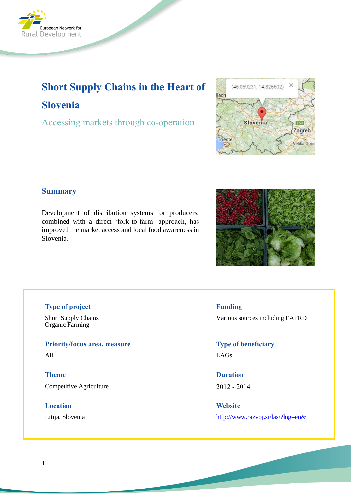

# **Short Supply Chains in the Heart of Slovenia**

Accessing markets through co-operation



## **Summary**

Development of distribution systems for producers, combined with a direct 'fork-to-farm' approach, has improved the market access and local food awareness in Slovenia.



## **Type of project**

Short Supply Chains Organic Farming

**Priority/focus area, measure**

All

**Theme** Competitive Agriculture

**Location**

Litija, Slovenia

**Funding**

Various sources including EAFRD

**Type of beneficiary** LAGs

**Duration** 2012 - 2014

**Website** <http://www.razvoj.si/las/?lng=en&>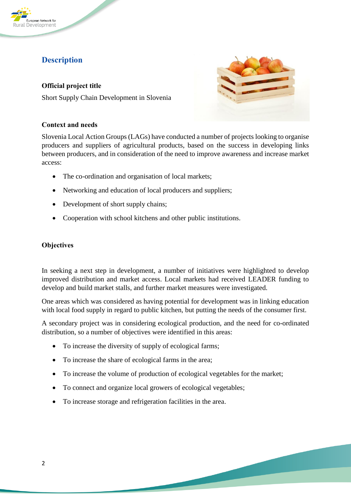

# **Description**

**Official project title** Short Supply Chain Development in Slovenia



#### **Context and needs**

Slovenia Local Action Groups (LAGs) have conducted a number of projects looking to organise producers and suppliers of agricultural products, based on the success in developing links between producers, and in consideration of the need to improve awareness and increase market access:

- The co-ordination and organisation of local markets;
- Networking and education of local producers and suppliers:
- Development of short supply chains;
- Cooperation with school kitchens and other public institutions.

## **Objectives**

In seeking a next step in development, a number of initiatives were highlighted to develop improved distribution and market access. Local markets had received LEADER funding to develop and build market stalls, and further market measures were investigated.

One areas which was considered as having potential for development was in linking education with local food supply in regard to public kitchen, but putting the needs of the consumer first.

A secondary project was in considering ecological production, and the need for co-ordinated distribution, so a number of objectives were identified in this areas:

- To increase the diversity of supply of ecological farms;
- To increase the share of ecological farms in the area;
- To increase the volume of production of ecological vegetables for the market;
- To connect and organize local growers of ecological vegetables;
- To increase storage and refrigeration facilities in the area.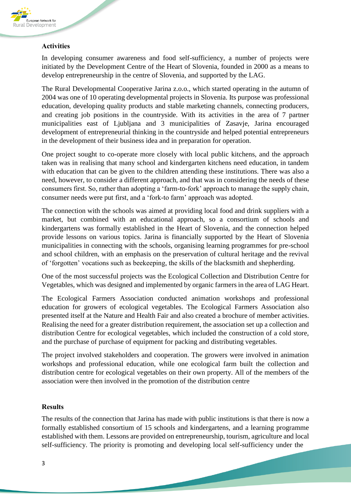

#### **Activities**

In developing consumer awareness and food self-sufficiency, a number of projects were initiated by the Development Centre of the Heart of Slovenia, founded in 2000 as a means to develop entrepreneurship in the centre of Slovenia, and supported by the LAG.

The Rural Developmental Cooperative Jarina z.o.o., which started operating in the autumn of 2004 was one of 10 operating developmental projects in Slovenia. Its purpose was professional education, developing quality products and stable marketing channels, connecting producers, and creating job positions in the countryside. With its activities in the area of 7 partner municipalities east of Ljubljana and 3 municipalities of Zasavje, Jarina encouraged development of entrepreneurial thinking in the countryside and helped potential entrepreneurs in the development of their business idea and in preparation for operation.

One project sought to co-operate more closely with local public kitchens, and the approach taken was in realising that many school and kindergarten kitchens need education, in tandem with education that can be given to the children attending these institutions. There was also a need, however, to consider a different approach, and that was in considering the needs of these consumers first. So, rather than adopting a 'farm-to-fork' approach to manage the supply chain, consumer needs were put first, and a 'fork-to farm' approach was adopted.

The connection with the schools was aimed at providing local food and drink suppliers with a market, but combined with an educational approach, so a consortium of schools and kindergartens was formally established in the Heart of Slovenia, and the connection helped provide lessons on various topics. Jarina is financially supported by the Heart of Slovenia municipalities in connecting with the schools, organising learning programmes for pre-school and school children, with an emphasis on the preservation of cultural heritage and the revival of 'forgotten' vocations such as beekeeping, the skills of the blacksmith and shepherding.

One of the most successful projects was the Ecological Collection and Distribution Centre for Vegetables, which was designed and implemented by organic farmers in the area of LAG Heart.

The Ecological Farmers Association conducted animation workshops and professional education for growers of ecological vegetables. The Ecological Farmers Association also presented itself at the Nature and Health Fair and also created a brochure of member activities. Realising the need for a greater distribution requirement, the association set up a collection and distribution Centre for ecological vegetables, which included the construction of a cold store, and the purchase of purchase of equipment for packing and distributing vegetables.

The project involved stakeholders and cooperation. The growers were involved in animation workshops and professional education, while one ecological farm built the collection and distribution centre for ecological vegetables on their own property. All of the members of the association were then involved in the promotion of the distribution centre

#### **Results**

The results of the connection that Jarina has made with public institutions is that there is now a formally established consortium of 15 schools and kindergartens, and a learning programme established with them. Lessons are provided on entrepreneurship, tourism, agriculture and local self-sufficiency. The priority is promoting and developing local self-sufficiency under the